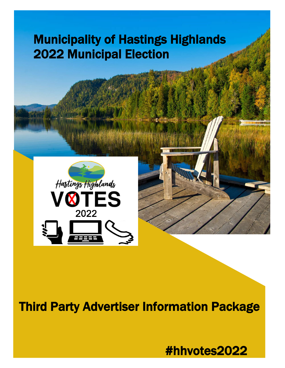# Municipality of Hastings Highlands 2022 Municipal Election





## Third Party Advertiser Information Package

#hhvotes2022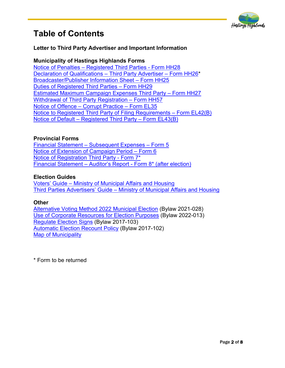

### **Table of Contents**

#### **Letter to Third Party Advertiser and Important Information**

#### **Municipality of Hastings Highlands Forms**

[Notice of Penalties – Registered Third Parties - Form HH28](https://hastingshighlands.ca/wp-content/uploads/2022/05/HH28-Notice-of-Penalties-3rd-Party.pdf)  [Declaration of Qualifications – Third Party Advertiser – Form HH26\\*](https://hastingshighlands.ca/wp-content/uploads/2022/05/HH26-Decl-of-Qualifications-3rd-Party-Advertiser.pdf) [Broadcaster/Publisher Information Sheet – Form HH25](https://hastingshighlands.ca/wp-content/uploads/2022/05/HH25-Broadcaster-Publisher-Info-Sheet-3rd-Party.pdf)  [Duties of Registered Third Parties – Form HH29](https://hastingshighlands.ca/wp-content/uploads/2022/05/HH29-Duties-of-Registered-3rd-Parties.pdf) [Estimated Maximum Campaign Expenses Third Party – Form HH27](https://hastingshighlands.ca/wp-content/uploads/2022/05/HH27-Est-Max-Campaign-Exp-3rd-Party.pdf)  [Withdrawal of Third Party Registration – Form HH57](https://hastingshighlands.ca/wp-content/uploads/2022/05/HH57-Withdrawal-of-Third-Party-Registration.pdf) [Notice of Offence – Corrupt Practice – Form EL35](https://hastingshighlands.ca/wp-content/uploads/2022/05/EL35-Notice-of-Offence-Corrupt-Practice-.pdf) [Notice to Registered Third Party of Filing Requirements – Form EL42\(B\)](https://hastingshighlands.ca/wp-content/uploads/2022/05/EL42B-Notice-to-Third-party-filing-Req-1.pdf) [Notice of Default – Registered Third Party – Form EL43\(B\)](https://hastingshighlands.ca/wp-content/uploads/2022/05/EL43B-Notice-of-Default-%E2%80%93-Registered-Third-Party-Form.pdf)

#### **Provincial Forms**

[Financial Statement – Subsequent Expenses – Form 5](https://hastingshighlands.ca/wp-content/uploads/2022/05/PR-FORM-5-Financial-Statement-Subsequent-Expenses-1.pdf)  [Notice of Extension of Campaign Period – Form 6](https://hastingshighlands.ca/wp-content/uploads/2022/05/PR-FORM-6-Notice-of-Extension-of-Campaign-Period-1.pdf) [Notice of Registration Third Party - Form](https://hastingshighlands.ca/wp-content/uploads/2022/05/PR-FORM-7-Notice-of-Registration-3rd-Party.pdf) 7\* [Financial Statement – Auditor's Report - Form 8\\* \(after election\)](https://hastingshighlands.ca/wp-content/uploads/2022/05/PR-FORM-8-Financial-Statement-Auditors-Report-3rd-Party.pdf)

#### **Election Guides**

[Voters' Guide – Ministry of Municipal Affairs and Housing](https://hastingshighlands.ca/wp-content/uploads/2022/05/MMAH-2022-Voters-Guide.pdf) [Third Parties Advertisers' Guide – Ministry of Municipal](https://hastingshighlands.ca/wp-content/uploads/2022/05/MMAH-2022-3rd-Party-Guide.pdf) Affairs and Housing

#### **Other**

[Alternative Voting Method 2022 Municipal](https://hastingshighlands.ca/wp-content/uploads/2022/05/2021-028-Alternative-Voting-Method-2022-Municipal-Election.pdf) Election (Bylaw 2021-028) [Use of Corporate Resources for Election Purposes](https://hastingshighlands.ca/wp-content/uploads/2022/05/2022-013-Use-of-Corporate-Resources-for-Election-Purposes.pdf) (Bylaw 2022-013) [Regulate Election Signs](https://hastingshighlands.ca/wp-content/uploads/2022/05/2017-103-Regulate-Election-Signs.pdf) (Bylaw 2017-103) [Automatic Election Recount Policy](https://hastingshighlands.ca/wp-content/uploads/2022/05/2017-102-Automatic-Election-Recount-Policy.pdf) (Bylaw 2017-102) [Map of Municipality](https://hastingshighlands.ca/wp-content/uploads/2022/04/Election-Map-Legal.pdf) 

\* Form to be returned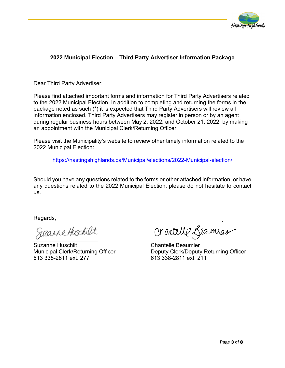

#### **2022 Municipal Election – Third Party Advertiser Information Package**

Dear Third Party Advertiser:

Please find attached important forms and information for Third Party Advertisers related to the 2022 Municipal Election. In addition to completing and returning the forms in the package noted as such (\*) it is expected that Third Party Advertisers will review all information enclosed. Third Party Advertisers may register in person or by an agent during regular business hours between May 2, 2022, and October 21, 2022, by making an appointment with the Municipal Clerk/Returning Officer.

Please visit the Municipality's website to review other timely information related to the 2022 Municipal Election:

[https://hastingshighlands.ca/Municipal/elections/2022-Municipal-election/](https://hastingshighlands.ca/municipal/elections/2022-municipal-election/)

Should you have any questions related to the forms or other attached information, or have any questions related to the 2022 Municipal Election, please do not hesitate to contact us.

Regards,

613 338-2811 ext. 277 613 338-2811 ext. 211

Suzanne Huschilt Chantelle Beaumier

Municipal Clerk/Returning Officer Deputy Clerk/Deputy Returning Officer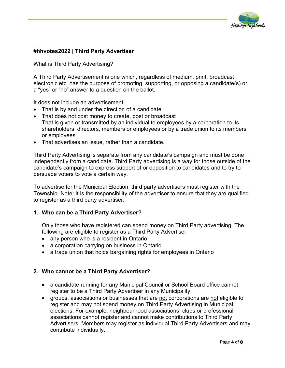

#### **#hhvotes2022 | Third Party Advertiser**

What is Third Party Advertising?

A Third Party Advertisement is one which, regardless of medium, print, broadcast electronic etc. has the purpose of promoting, supporting, or opposing a candidate(s) or a "yes" or "no" answer to a question on the ballot.

It does not include an advertisement:

- That is by and under the direction of a candidate
- That does not cost money to create, post or broadcast That is given or transmitted by an individual to employees by a corporation to its shareholders, directors, members or employees or by a trade union to its members or employees
- That advertises an issue, rather than a candidate.

Third Party Advertising is separate from any candidate's campaign and must be done independently from a candidate. Third Party advertising is a way for those outside of the candidate's campaign to express support of or opposition to candidates and to try to persuade voters to vote a certain way.

To advertise for the Municipal Election, third party advertisers must register with the Township. Note: It is the responsibility of the advertiser to ensure that they are qualified to register as a third party advertiser.

#### **1. Who can be a Third Party Advertiser?**

Only those who have registered can spend money on Third Party advertising. The following are eligible to register as a Third Party Advertiser:

- any person who is a resident in Ontario
- a corporation carrying on business in Ontario
- a trade union that holds bargaining rights for employees in Ontario

#### **2. Who cannot be a Third Party Advertiser?**

- a candidate running for any Municipal Council or School Board office cannot register to be a Third Party Advertiser in any Municipality.
- groups, associations or businesses that are not corporations are not eligible to register and may not spend money on Third Party Advertising in Municipal elections. For example, neighbourhood associations, clubs or professional associations cannot register and cannot make contributions to Third Party Advertisers. Members may register as individual Third Party Advertisers and may contribute individually.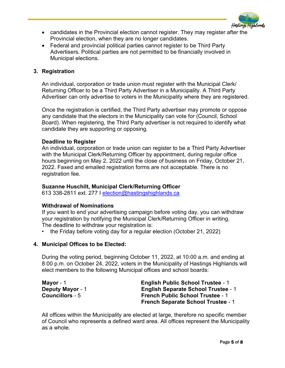

- candidates in the Provincial election cannot register. They may register after the Provincial election, when they are no longer candidates.
- Federal and provincial political parties cannot register to be Third Party Advertisers. Political parties are not permitted to be financially involved in Municipal elections.

#### **3. Registration**

An individual, corporation or trade union must register with the Municipal Clerk/ Returning Officer to be a Third Party Advertiser in a Municipality. A Third Party Advertiser can only advertise to voters in the Municipality where they are registered.

Once the registration is certified, the Third Party advertiser may promote or oppose any candidate that the electors in the Municipality can vote for (Council, School Board). When registering, the Third Party advertiser is not required to identify what candidate they are supporting or opposing.

#### **Deadline to Register**

An individual, corporation or trade union can register to be a Third Party Advertiser with the Municipal Clerk/Returning Officer by appointment, during regular office hours beginning on May 2, 2022 until the close of business on Friday, October 21, 2022. Faxed and emailed registration forms are not acceptable. There is no registration fee.

#### **Suzanne Huschilt, Municipal Clerk/Returning Officer**

613 338-2811 ext. 277 I [election@hastingshighlands.ca](mailto:election@hastingshighlands.ca)

#### **Withdrawal of Nominations**

If you want to end your advertising campaign before voting day, you can withdraw your registration by notifying the Municipal Clerk/Returning Officer in writing. The deadline to withdraw your registration is:

• the Friday before voting day for a regular election (October 21, 2022)

#### **4. Municipal Offices to be Elected:**

During the voting period, beginning October 11, 2022, at 10:00 a.m. and ending at 8:00 p.m. on October 24, 2022, voters in the Municipality of Hastings Highlands will elect members to the following Municipal offices and school boards:

| Mayor $-1$              | <b>English Public School Trustee - 1</b>   |
|-------------------------|--------------------------------------------|
| <b>Deputy Mayor - 1</b> | <b>English Separate School Trustee - 1</b> |
| <b>Councillors - 5</b>  | <b>French Public School Trustee - 1</b>    |
|                         | <b>French Separate School Trustee - 1</b>  |

All offices within the Municipality are elected at large, therefore no specific member of Council who represents a defined ward area. All offices represent the Municipality as a whole.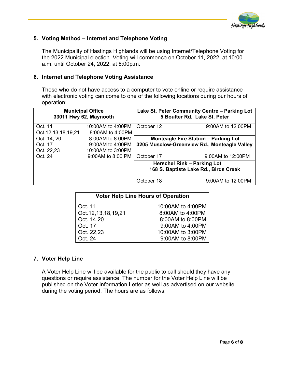

#### **5. Voting Method – Internet and Telephone Voting**

The Municipality of Hastings Highlands will be using Internet/Telephone Voting for the 2022 Municipal election. Voting will commence on October 11, 2022, at 10:00 a.m. until October 24, 2022, at 8:00p.m.

#### **6. Internet and Telephone Voting Assistance**

Those who do not have access to a computer to vote online or require assistance with electronic voting can come to one of the following locations during our hours of operation:

| <b>Municipal Office</b><br>33011 Hwy 62, Maynooth |                    | Lake St. Peter Community Centre - Parking Lot<br>5 Boulter Rd., Lake St. Peter |                                              |
|---------------------------------------------------|--------------------|--------------------------------------------------------------------------------|----------------------------------------------|
| Oct. 11                                           | 10:00AM to 4:00PM  | October 12                                                                     | 9:00AM to 12:00PM                            |
| Oct. 12, 13, 18, 19, 21                           | 8:00AM to 4:00PM   |                                                                                |                                              |
| Oct. 14, 20                                       | 8:00AM to 8:00PM   |                                                                                | <b>Monteagle Fire Station - Parking Lot</b>  |
| Oct. 17                                           | $9:00AM$ to 4:00PM |                                                                                | 3205 Musclow-Greenview Rd., Monteagle Valley |
| Oct. 22,23                                        | 10:00AM to 3:00PM  |                                                                                |                                              |
| Oct. 24                                           | 9:00 AM to 8:00 PM | October 17                                                                     | 9:00AM to 12:00PM                            |
|                                                   |                    | Herschel Rink - Parking Lot<br>168 S. Baptiste Lake Rd., Birds Creek           |                                              |
|                                                   |                    | October 18                                                                     | 9:00AM to 12:00PM                            |

| <b>Voter Help Line Hours of Operation</b> |                   |  |  |
|-------------------------------------------|-------------------|--|--|
| Oct. 11                                   | 10:00AM to 4:00PM |  |  |
| Oct. 12, 13, 18, 19, 21                   | 8:00AM to 4:00PM  |  |  |
| Oct. 14,20                                | 8:00AM to 8:00PM  |  |  |
| Oct. 17                                   | 9:00AM to 4:00PM  |  |  |
| Oct. 22,23                                | 10:00AM to 3:00PM |  |  |
| Oct. 24                                   | 9:00AM to 8:00PM  |  |  |

#### **7. Voter Help Line**

A Voter Help Line will be available for the public to call should they have any questions or require assistance. The number for the Voter Help Line will be published on the Voter Information Letter as well as advertised on our website during the voting period. The hours are as follows: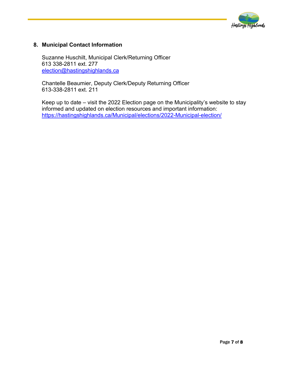

#### **8. Municipal Contact Information**

Suzanne Huschilt, Municipal Clerk/Returning Officer 613 338-2811 ext. 277 [election@hastingshighlands.ca](mailto:election@hastingshighlands.ca) 

Chantelle Beaumier, Deputy Clerk/Deputy Returning Officer 613-338-2811 ext. 211

Keep up to date – visit the 2022 Election page on the Municipality's website to stay informed and updated on election resources and important information: [https://hastingshighlands.ca/Municipal/elections/2022-Municipal-election/](https://hastingshighlands.ca/municipal/elections/2022-municipal-election/)